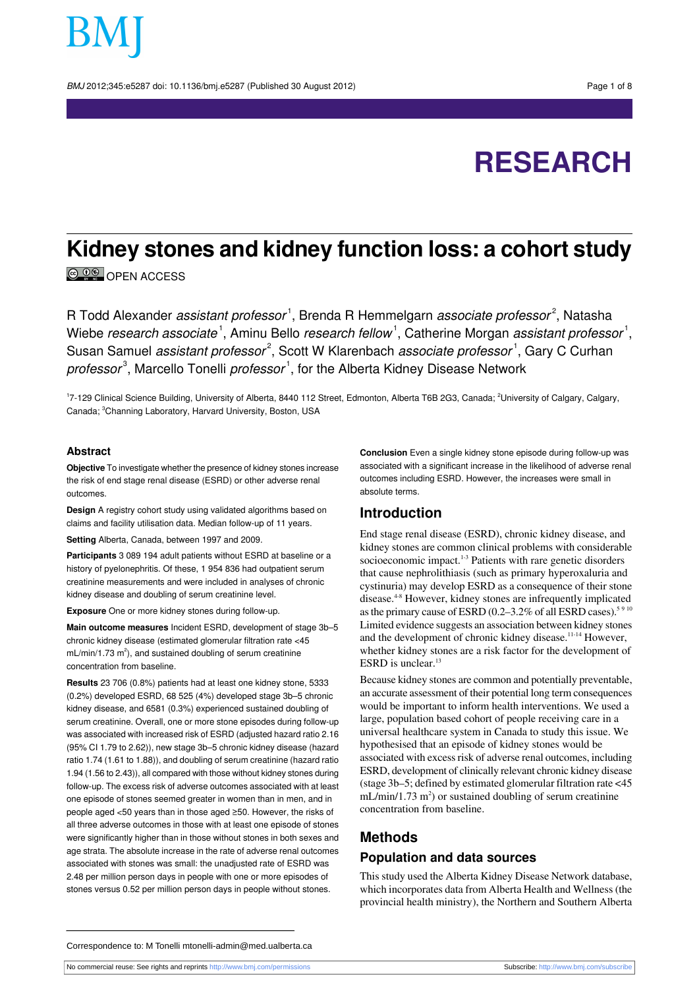BMJ 2012;345:e5287 doi: 10.1136/bmj.e5287 (Published 30 August 2012) Page 1 of 8

# **RESEARCH**

# **Kidney stones and kidney function loss: a cohort study**

COO OPEN ACCESS

R Todd Alexander *assistant professor*<sup>1</sup>, Brenda R Hemmelgarn *associate professor<sup>2</sup>,* Natasha Wiebe *research associate*  $^1$ , Aminu Bello *research fellow*  $^1$ , Catherine Morgan *assistant professor*  $^1$ , Susan Samuel *assistant professor<sup>2</sup>,* Scott W Klarenbach *associate professor*<sup>1</sup>, Gary C Curhan *professor*<sup>3</sup>, Marcello Tonelli *professor*<sup>1</sup>, for the Alberta Kidney Disease Network

<sup>1</sup>7-129 Clinical Science Building, University of Alberta, 8440 112 Street, Edmonton, Alberta T6B 2G3, Canada; <sup>2</sup>University of Calgary, Calgary, Canada; <sup>3</sup>Channing Laboratory, Harvard University, Boston, USA

#### **Abstract**

**Objective** To investigate whether the presence of kidney stones increase the risk of end stage renal disease (ESRD) or other adverse renal outcomes.

**Design** A registry cohort study using validated algorithms based on claims and facility utilisation data. Median follow-up of 11 years.

**Setting** Alberta, Canada, between 1997 and 2009.

**Participants** 3 089 194 adult patients without ESRD at baseline or a history of pyelonephritis. Of these, 1 954 836 had outpatient serum creatinine measurements and were included in analyses of chronic kidney disease and doubling of serum creatinine level.

**Exposure** One or more kidney stones during follow-up.

**Main outcome measures** Incident ESRD, development of stage 3b–5 chronic kidney disease (estimated glomerular filtration rate <45 mL/min/1.73 m<sup>2</sup>), and sustained doubling of serum creatinine concentration from baseline.

**Results** 23 706 (0.8%) patients had at least one kidney stone, 5333 (0.2%) developed ESRD, 68 525 (4%) developed stage 3b–5 chronic kidney disease, and 6581 (0.3%) experienced sustained doubling of serum creatinine. Overall, one or more stone episodes during follow-up was associated with increased risk of ESRD (adjusted hazard ratio 2.16 (95% CI 1.79 to 2.62)), new stage 3b–5 chronic kidney disease (hazard ratio 1.74 (1.61 to 1.88)), and doubling of serum creatinine (hazard ratio 1.94 (1.56 to 2.43)), all compared with those without kidney stones during follow-up. The excess risk of adverse outcomes associated with at least one episode of stones seemed greater in women than in men, and in people aged <50 years than in those aged ≥50. However, the risks of all three adverse outcomes in those with at least one episode of stones were significantly higher than in those without stones in both sexes and age strata. The absolute increase in the rate of adverse renal outcomes associated with stones was small: the unadjusted rate of ESRD was 2.48 per million person days in people with one or more episodes of stones versus 0.52 per million person days in people without stones.

**Conclusion** Even a single kidney stone episode during follow-up was associated with a significant increase in the likelihood of adverse renal outcomes including ESRD. However, the increases were small in absolute terms.

#### **Introduction**

End stage renal disease (ESRD), chronic kidney disease, and kidney stones are common clinical problems with considerable socioeconomic impact.<sup>1-3</sup> Patients with rare genetic disorders that cause nephrolithiasis (such as primary hyperoxaluria and cystinuria) may develop ESRD as a consequence of their stone disease.4-8 However, kidney stones are infrequently implicated as the primary cause of ESRD (0.2–3.2% of all ESRD cases).<sup>5 9 10</sup> Limited evidence suggests an association between kidney stones and the development of chronic kidney disease.<sup>11-14</sup> However, whether kidney stones are a risk factor for the development of ESRD is unclear.<sup>13</sup>

Because kidney stones are common and potentially preventable, an accurate assessment of their potential long term consequences would be important to inform health interventions. We used a large, population based cohort of people receiving care in a universal healthcare system in Canada to study this issue. We hypothesised that an episode of kidney stones would be associated with excess risk of adverse renal outcomes, including ESRD, development of clinically relevant chronic kidney disease (stage 3b–5; defined by estimated glomerular filtration rate <45  $mL/min/1.73 m<sup>2</sup>$ ) or sustained doubling of serum creatinine concentration from baseline.

## **Methods**

### **Population and data sources**

This study used the Alberta Kidney Disease Network database, which incorporates data from Alberta Health and Wellness (the provincial health ministry), the Northern and Southern Alberta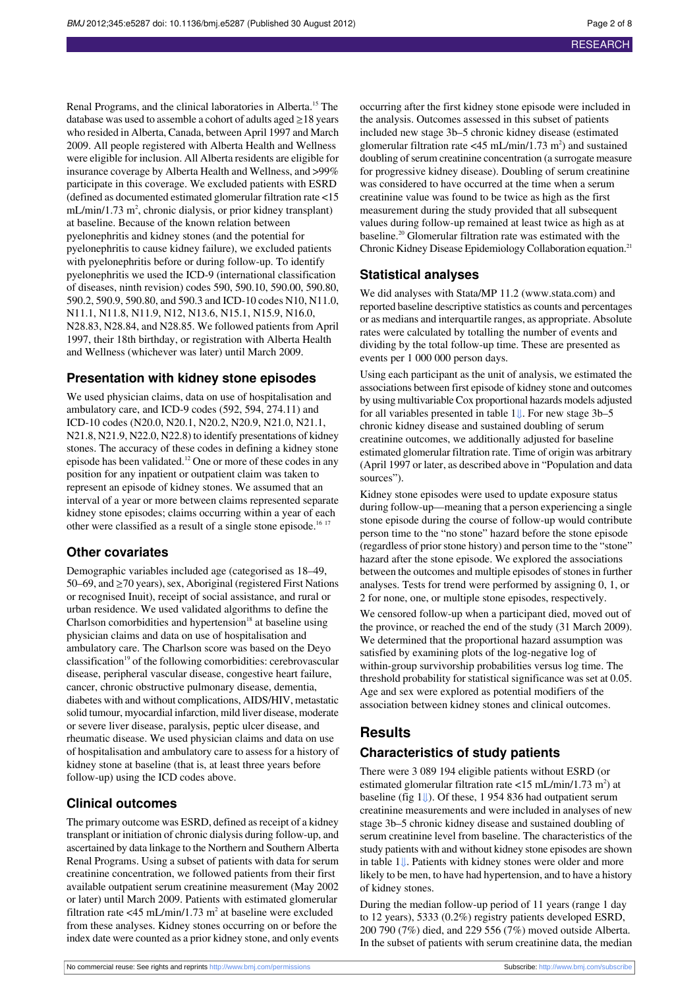Renal Programs, and the clinical laboratories in Alberta.<sup>15</sup> The database was used to assemble a cohort of adults aged ≥18 years who resided in Alberta, Canada, between April 1997 and March 2009. All people registered with Alberta Health and Wellness were eligible for inclusion. All Alberta residents are eligible for insurance coverage by Alberta Health and Wellness, and >99% participate in this coverage. We excluded patients with ESRD (defined as documented estimated glomerular filtration rate <15 mL/min/1.73 m<sup>2</sup>, chronic dialysis, or prior kidney transplant) at baseline. Because of the known relation between pyelonephritis and kidney stones (and the potential for pyelonephritis to cause kidney failure), we excluded patients with pyelonephritis before or during follow-up. To identify pyelonephritis we used the ICD-9 (international classification of diseases, ninth revision) codes 590, 590.10, 590.00, 590.80, 590.2, 590.9, 590.80, and 590.3 and ICD-10 codes N10, N11.0, N11.1, N11.8, N11.9, N12, N13.6, N15.1, N15.9, N16.0, N28.83, N28.84, and N28.85. We followed patients from April 1997, their 18th birthday, or registration with Alberta Health and Wellness (whichever was later) until March 2009.

#### **Presentation with kidney stone episodes**

We used physician claims, data on use of hospitalisation and ambulatory care, and ICD-9 codes (592, 594, 274.11) and ICD-10 codes (N20.0, N20.1, N20.2, N20.9, N21.0, N21.1, N21.8, N21.9, N22.0, N22.8) to identify presentations of kidney stones. The accuracy of these codes in defining a kidney stone episode has been validated.<sup>12</sup> One or more of these codes in any position for any inpatient or outpatient claim was taken to represent an episode of kidney stones. We assumed that an interval of a year or more between claims represented separate kidney stone episodes; claims occurring within a year of each other were classified as a result of a single stone episode.<sup>16 17</sup>

#### **Other covariates**

Demographic variables included age (categorised as 18–49, 50–69, and  $\geq$  70 years), sex, Aboriginal (registered First Nations or recognised Inuit), receipt of social assistance, and rural or urban residence. We used validated algorithms to define the Charlson comorbidities and hypertension $18$  at baseline using physician claims and data on use of hospitalisation and ambulatory care. The Charlson score was based on the Deyo classification<sup>19</sup> of the following comorbidities: cerebrovascular disease, peripheral vascular disease, congestive heart failure, cancer, chronic obstructive pulmonary disease, dementia, diabetes with and without complications, AIDS/HIV, metastatic solid tumour, myocardial infarction, mild liver disease, moderate or severe liver disease, paralysis, peptic ulcer disease, and rheumatic disease. We used physician claims and data on use of hospitalisation and ambulatory care to assess for a history of kidney stone at baseline (that is, at least three years before follow-up) using the ICD codes above.

#### **Clinical outcomes**

The primary outcome was ESRD, defined as receipt of a kidney transplant or initiation of chronic dialysis during follow-up, and ascertained by data linkage to the Northern and Southern Alberta Renal Programs. Using a subset of patients with data for serum creatinine concentration, we followed patients from their first available outpatient serum creatinine measurement (May 2002 or later) until March 2009. Patients with estimated glomerular filtration rate <45 mL/min/1.73 m<sup>2</sup> at baseline were excluded from these analyses. Kidney stones occurring on or before the index date were counted as a prior kidney stone, and only events

occurring after the first kidney stone episode were included in the analysis. Outcomes assessed in this subset of patients included new stage 3b–5 chronic kidney disease (estimated glomerular filtration rate <45 mL/min/1.73 m<sup>2</sup>) and sustained doubling of serum creatinine concentration (a surrogate measure for progressive kidney disease). Doubling of serum creatinine was considered to have occurred at the time when a serum creatinine value was found to be twice as high as the first measurement during the study provided that all subsequent values during follow-up remained at least twice as high as at baseline.<sup>20</sup> Glomerular filtration rate was estimated with the Chronic Kidney Disease Epidemiology Collaboration equation.<sup>21</sup>

#### **Statistical analyses**

We did analyses with Stata/MP 11.2 [\(www.stata.com](http://www.stata.com/)) and reported baseline descriptive statistics as counts and percentages or as medians and interquartile ranges, as appropriate. Absolute rates were calculated by totalling the number of events and dividing by the total follow-up time. These are presented as events per 1 000 000 person days.

Using each participant as the unit of analysis, we estimated the associations between first episode of kidney stone and outcomes by using multivariable Cox proportional hazards models adjusted for all variables presented in table 1[⇓](#page-4-0). For new stage 3b–5 chronic kidney disease and sustained doubling of serum creatinine outcomes, we additionally adjusted for baseline estimated glomerular filtration rate. Time of origin was arbitrary (April 1997 or later, as described above in "Population and data sources").

Kidney stone episodes were used to update exposure status during follow-up—meaning that a person experiencing a single stone episode during the course of follow-up would contribute person time to the "no stone" hazard before the stone episode (regardless of prior stone history) and person time to the "stone" hazard after the stone episode. We explored the associations between the outcomes and multiple episodes of stones in further analyses. Tests for trend were performed by assigning 0, 1, or 2 for none, one, or multiple stone episodes, respectively.

We censored follow-up when a participant died, moved out of the province, or reached the end of the study (31 March 2009). We determined that the proportional hazard assumption was satisfied by examining plots of the log-negative log of within-group survivorship probabilities versus log time. The threshold probability for statistical significance was set at 0.05. Age and sex were explored as potential modifiers of the association between kidney stones and clinical outcomes.

## **Results**

#### **Characteristics of study patients**

There were 3 089 194 eligible patients without ESRD (or estimated glomerular filtration rate <15 mL/min/1.73 m<sup>2</sup>) at baseline (fig 1[⇓\)](#page-7-0). Of these, 1 954 836 had outpatient serum creatinine measurements and were included in analyses of new stage 3b–5 chronic kidney disease and sustained doubling of serum creatinine level from baseline. The characteristics of the study patients with and without kidney stone episodes are shown in table [1⇓](#page-4-0). Patients with kidney stones were older and more likely to be men, to have had hypertension, and to have a history of kidney stones.

During the median follow-up period of 11 years (range 1 day to 12 years), 5333 (0.2%) registry patients developed ESRD, 200 790 (7%) died, and 229 556 (7%) moved outside Alberta. In the subset of patients with serum creatinine data, the median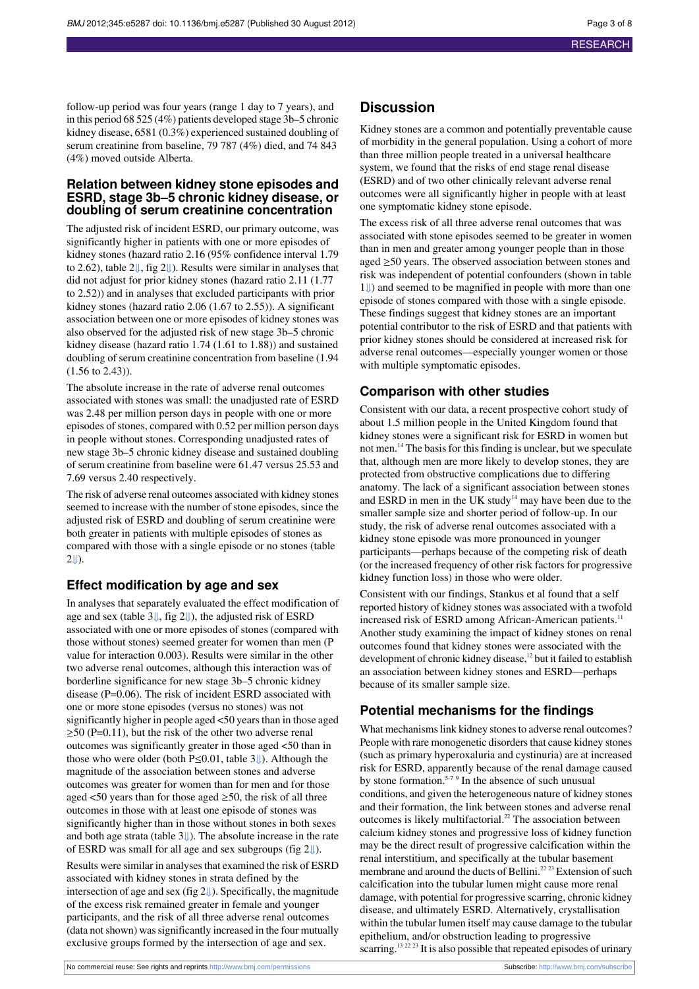follow-up period was four years (range 1 day to 7 years), and in this period 68 525 (4%) patients developed stage 3b–5 chronic kidney disease, 6581 (0.3%) experienced sustained doubling of serum creatinine from baseline, 79 787 (4%) died, and 74 843 (4%) moved outside Alberta.

#### **Relation between kidney stone episodes and ESRD, stage 3b–5 chronic kidney disease, or doubling of serum creatinine concentration**

The adjusted risk of incident ESRD, our primary outcome, was significantly higher in patients with one or more episodes of kidney stones (hazard ratio 2.16 (95% confidence interval 1.79 to 2.62), table 2[⇓,](#page-5-0) fig [2⇓](#page-7-1)). Results were similar in analyses that did not adjust for prior kidney stones (hazard ratio 2.11 (1.77 to 2.52)) and in analyses that excluded participants with prior kidney stones (hazard ratio 2.06 (1.67 to 2.55)). A significant association between one or more episodes of kidney stones was also observed for the adjusted risk of new stage 3b–5 chronic kidney disease (hazard ratio 1.74 (1.61 to 1.88)) and sustained doubling of serum creatinine concentration from baseline (1.94 (1.56 to 2.43)).

The absolute increase in the rate of adverse renal outcomes associated with stones was small: the unadjusted rate of ESRD was 2.48 per million person days in people with one or more episodes of stones, compared with 0.52 per million person days in people without stones. Corresponding unadjusted rates of new stage 3b–5 chronic kidney disease and sustained doubling of serum creatinine from baseline were 61.47 versus 25.53 and 7.69 versus 2.40 respectively.

The risk of adverse renal outcomes associated with kidney stones seemed to increase with the number of stone episodes, since the adjusted risk of ESRD and doubling of serum creatinine were both greater in patients with multiple episodes of stones as compared with those with a single episode or no stones (table  $2 \cup$ ).

## **Effect modification by age and sex**

In analyses that separately evaluated the effect modification of age and sex (table 3[⇓,](#page-6-0) fig 2[⇓\)](#page-7-1), the adjusted risk of ESRD associated with one or more episodes of stones (compared with those without stones) seemed greater for women than men (P value for interaction 0.003). Results were similar in the other two adverse renal outcomes, although this interaction was of borderline significance for new stage 3b–5 chronic kidney disease (P=0.06). The risk of incident ESRD associated with one or more stone episodes (versus no stones) was not significantly higher in people aged <50 years than in those aged  $\geq$ 50 (P=0.11), but the risk of the other two adverse renal outcomes was significantly greater in those aged <50 than in those who were older (both P≤0.01, table 3[⇓\)](#page-6-0). Although the magnitude of the association between stones and adverse outcomes was greater for women than for men and for those aged  $\leq 50$  years than for those aged  $\geq 50$ , the risk of all three outcomes in those with at least one episode of stones was significantly higher than in those without stones in both sexes and both age strata (table [3⇓\)](#page-6-0). The absolute increase in the rate of ESRD was small for all age and sex subgroups (fig 2[⇓\)](#page-7-1).

Results were similar in analyses that examined the risk of ESRD associated with kidney stones in strata defined by the intersection of age and sex (fig [2⇓](#page-7-1)). Specifically, the magnitude of the excess risk remained greater in female and younger participants, and the risk of all three adverse renal outcomes (data not shown) was significantly increased in the four mutually exclusive groups formed by the intersection of age and sex.

#### **Discussion**

Kidney stones are a common and potentially preventable cause of morbidity in the general population. Using a cohort of more than three million people treated in a universal healthcare system, we found that the risks of end stage renal disease (ESRD) and of two other clinically relevant adverse renal outcomes were all significantly higher in people with at least one symptomatic kidney stone episode.

The excess risk of all three adverse renal outcomes that was associated with stone episodes seemed to be greater in women than in men and greater among younger people than in those aged ≥50 years. The observed association between stones and risk was independent of potential confounders (shown in table [1⇓](#page-4-0)) and seemed to be magnified in people with more than one episode of stones compared with those with a single episode. These findings suggest that kidney stones are an important potential contributor to the risk of ESRD and that patients with prior kidney stones should be considered at increased risk for adverse renal outcomes—especially younger women or those with multiple symptomatic episodes.

#### **Comparison with other studies**

Consistent with our data, a recent prospective cohort study of about 1.5 million people in the United Kingdom found that kidney stones were a significant risk for ESRD in women but not men.<sup>14</sup> The basis for this finding is unclear, but we speculate that, although men are more likely to develop stones, they are protected from obstructive complications due to differing anatomy. The lack of a significant association between stones and ESRD in men in the UK study<sup>14</sup> may have been due to the smaller sample size and shorter period of follow-up. In our study, the risk of adverse renal outcomes associated with a kidney stone episode was more pronounced in younger participants—perhaps because of the competing risk of death (or the increased frequency of other risk factors for progressive kidney function loss) in those who were older.

Consistent with our findings, Stankus et al found that a self reported history of kidney stones was associated with a twofold increased risk of ESRD among African-American patients.<sup>11</sup> Another study examining the impact of kidney stones on renal outcomes found that kidney stones were associated with the development of chronic kidney disease, $12$  but it failed to establish an association between kidney stones and ESRD—perhaps because of its smaller sample size.

#### **Potential mechanisms for the findings**

What mechanisms link kidney stones to adverse renal outcomes? People with rare monogenetic disorders that cause kidney stones (such as primary hyperoxaluria and cystinuria) are at increased risk for ESRD, apparently because of the renal damage caused by stone formation.<sup>5-7 9</sup> In the absence of such unusual conditions, and given the heterogeneous nature of kidney stones and their formation, the link between stones and adverse renal outcomes is likely multifactorial.<sup>22</sup> The association between calcium kidney stones and progressive loss of kidney function may be the direct result of progressive calcification within the renal interstitium, and specifically at the tubular basement membrane and around the ducts of Bellini.<sup>22</sup><sup>23</sup> Extension of such calcification into the tubular lumen might cause more renal damage, with potential for progressive scarring, chronic kidney disease, and ultimately ESRD. Alternatively, crystallisation within the tubular lumen itself may cause damage to the tubular epithelium, and/or obstruction leading to progressive scarring.<sup>13 22 23</sup> It is also possible that repeated episodes of urinary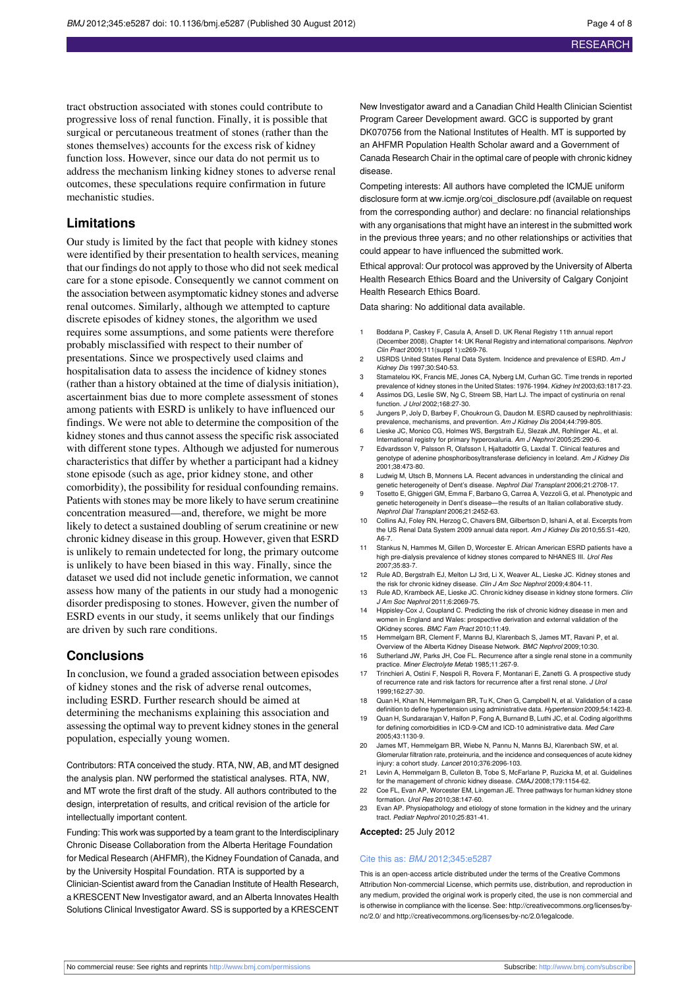tract obstruction associated with stones could contribute to progressive loss of renal function. Finally, it is possible that surgical or percutaneous treatment of stones (rather than the stones themselves) accounts for the excess risk of kidney function loss. However, since our data do not permit us to address the mechanism linking kidney stones to adverse renal outcomes, these speculations require confirmation in future mechanistic studies.

#### **Limitations**

Our study is limited by the fact that people with kidney stones were identified by their presentation to health services, meaning that our findings do not apply to those who did not seek medical care for a stone episode. Consequently we cannot comment on the association between asymptomatic kidney stones and adverse renal outcomes. Similarly, although we attempted to capture discrete episodes of kidney stones, the algorithm we used requires some assumptions, and some patients were therefore probably misclassified with respect to their number of presentations. Since we prospectively used claims and hospitalisation data to assess the incidence of kidney stones (rather than a history obtained at the time of dialysis initiation), ascertainment bias due to more complete assessment of stones among patients with ESRD is unlikely to have influenced our findings. We were not able to determine the composition of the kidney stones and thus cannot assess the specific risk associated with different stone types. Although we adjusted for numerous characteristics that differ by whether a participant had a kidney stone episode (such as age, prior kidney stone, and other comorbidity), the possibility for residual confounding remains. Patients with stones may be more likely to have serum creatinine concentration measured—and, therefore, we might be more likely to detect a sustained doubling of serum creatinine or new chronic kidney disease in this group. However, given that ESRD is unlikely to remain undetected for long, the primary outcome is unlikely to have been biased in this way. Finally, since the dataset we used did not include genetic information, we cannot assess how many of the patients in our study had a monogenic disorder predisposing to stones. However, given the number of ESRD events in our study, it seems unlikely that our findings are driven by such rare conditions.

#### **Conclusions**

In conclusion, we found a graded association between episodes of kidney stones and the risk of adverse renal outcomes, including ESRD. Further research should be aimed at determining the mechanisms explaining this association and assessing the optimal way to prevent kidney stonesin the general population, especially young women.

Contributors: RTA conceived the study. RTA, NW, AB, and MT designed the analysis plan. NW performed the statistical analyses. RTA, NW, and MT wrote the first draft of the study. All authors contributed to the design, interpretation of results, and critical revision of the article for intellectually important content.

Funding: This work was supported by a team grant to the Interdisciplinary Chronic Disease Collaboration from the Alberta Heritage Foundation for Medical Research (AHFMR), the Kidney Foundation of Canada, and by the University Hospital Foundation. RTA is supported by a Clinician-Scientist award from the Canadian Institute of Health Research, a KRESCENT New Investigator award, and an Alberta Innovates Health Solutions Clinical Investigator Award. SS is supported by a KRESCENT New Investigator award and a Canadian Child Health Clinician Scientist Program Career Development award. GCC is supported by grant DK070756 from the National Institutes of Health. MT is supported by an AHFMR Population Health Scholar award and a Government of Canada Research Chair in the optimal care of people with chronic kidney disease.

Competing interests: All authors have completed the ICMJE uniform disclosure form at ww.icmje.org/coi\_disclosure.pdf (available on request from the corresponding author) and declare: no financial relationships with any organisations that might have an interest in the submitted work in the previous three years; and no other relationships or activities that could appear to have influenced the submitted work.

Ethical approval: Our protocol was approved by the University of Alberta Health Research Ethics Board and the University of Calgary Conjoint Health Research Ethics Board.

Data sharing: No additional data available.

- 1 Boddana P, Caskey F, Casula A, Ansell D. UK Renal Registry 11th annual report (December 2008). Chapter 14: UK Renal Registry and international comparisons. Nephron Clin Pract 2009;111(suppl 1):c269-76.
- 2 USRDS United States Renal Data System. Incidence and prevalence of ESRD. Am J Kidney Dis 1997;30:S40-53.
- 3 Stamatelou KK, Francis ME, Jones CA, Nyberg LM, Curhan GC. Time trends in reported prevalence of kidney stones in the United States: 1976-1994. Kidney Int 2003;63:1817-23.
- 4 Assimos DG, Leslie SW, Ng C, Streem SB, Hart LJ. The impact of cystinuria on renal function. J Urol 2002;168:27-30.
- 5 Jungers P, Joly D, Barbey F, Choukroun G, Daudon M. ESRD caused by nephrolithiasis: prevalence, mechanisms, and prevention. Am J Kidney Dis 2004;44:799-805.
- 6 Lieske JC, Monico CG, Holmes WS, Bergstralh EJ, Slezak JM, Rohlinger AL, et al. International registry for primary hyperoxaluria. Am J Nephrol 2005;25:290-6. 7 Edvardsson V, Palsson R, Olafsson I, Hjaltadottir G, Laxdal T. Clinical features and
- genotype of adenine phosphoribosyltransferase deficiency in Iceland. Am J Kidney Dis 2001;38:473-80.
- 8 Ludwig M, Utsch B, Monnens LA. Recent advances in understanding the clinical and genetic heterogeneity of Dent's disease. Nephrol Dial Transplant 2006;21:2708-17.
- 9 Tosetto E, Ghiggeri GM, Emma F, Barbano G, Carrea A, Vezzoli G, et al. Phenotypic and genetic heterogeneity in Dent's disease—the results of an Italian collaborative study Nephrol Dial Transplant 2006;21:2452-63.
- 10 Collins AJ, Foley RN, Herzog C, Chavers BM, Gilbertson D, Ishani A, et al. Excerpts from the US Renal Data System 2009 annual data report. Am J Kidney Dis 2010;55:S1-420, A6-7.
- 11 Stankus N, Hammes M, Gillen D, Worcester E. African American ESRD patients have a high pre-dialysis prevalence of kidney stones compared to NHANES III. Urol Res 2007;35:83-7.
- 12 Rule AD, Bergstralh EJ, Melton LJ 3rd, Li X, Weaver AL, Lieske JC. Kidney stones and the risk for chronic kidney disease. Clin J Am Soc Nephrol 2009;4:804-11.
- 13 Rule AD, Krambeck AE, Lieske JC. Chronic kidney disease in kidney stone for J Am Soc Nephrol 2011;6:2069-75.
- 14 Hippisley-Cox J, Coupland C. Predicting the risk of chronic kidney disease in men and women in England and Wales: prospective derivation and external validation of the QKidney scores. BMC Fam Pract 2010;11:49.
- 15 Hemmelgarn BR, Clement F, Manns BJ, Klarenbach S, James MT, Ravani P, et al.
- Overview of the Alberta Kidney Disease Network. BMC Nephrol 2009;10:30. 16 Sutherland JW, Parks JH, Coe FL. Recurrence after a single renal stone in a community practice. Miner Electrolyte Metab 1985;11:267-9.
- 17 Trinchieri A, Ostini F, Nespoli R, Rovera F, Montanari E, Zanetti G. A prospective study of recurrence rate and risk factors for recurrence after a first renal stone. J Urol 1999;162:27-30.
- 18 Quan H, Khan N, Hemmelgarn BR, Tu K, Chen G, Campbell N, et al. Validation of a case definition to define hypertension using administrative data. Hypertension 2009;54:1423-8.
- 19 Quan H, Sundararajan V, Halfon P, Fong A, Burnand B, Luthi JC, et al. Coding algorithms for defining comorbidities in ICD-9-CM and ICD-10 administrative data. Med Care 2005;43:1130-9.
- 20 James MT, Hemmelgarn BR, Wiebe N, Pannu N, Manns BJ, Klarenbach SW, et al. Glomerular filtration rate, proteinuria, and the incidence and consequences of acute kidney injury: a cohort study. Lancet 2010;376:2096-103.
- 21 Levin A, Hemmelgarn B, Culleton B, Tobe S, McFarlane P, Ruzicka M, et al. Guidelines for the management of chronic kidney disease. CMAJ 2008;179:1154-62.
- 22 Coe FL, Evan AP, Worcester EM, Lingeman JE. Three pathways for human kidney stone formation. Urol Res 2010;38:147-60.
- 23 Evan AP. Physiopathology and etiology of stone formation in the kidney and the urinary tract. Pediatr Nephrol 2010;25:831-41.

**Accepted:** 25 July 2012

#### Cite this as: BMJ 2012;345:e5287

This is an open-access article distributed under the terms of the Creative Commons Attribution Non-commercial License, which permits use, distribution, and reproduction in any medium, provided the original work is properly cited, the use is non commercial and is otherwise in compliance with the license. See: [http://creativecommons.org/licenses/by](http://creativecommons.org/licenses/by-nc/2.0/)[nc/2.0/](http://creativecommons.org/licenses/by-nc/2.0/) and <http://creativecommons.org/licenses/by-nc/2.0/legalcode>.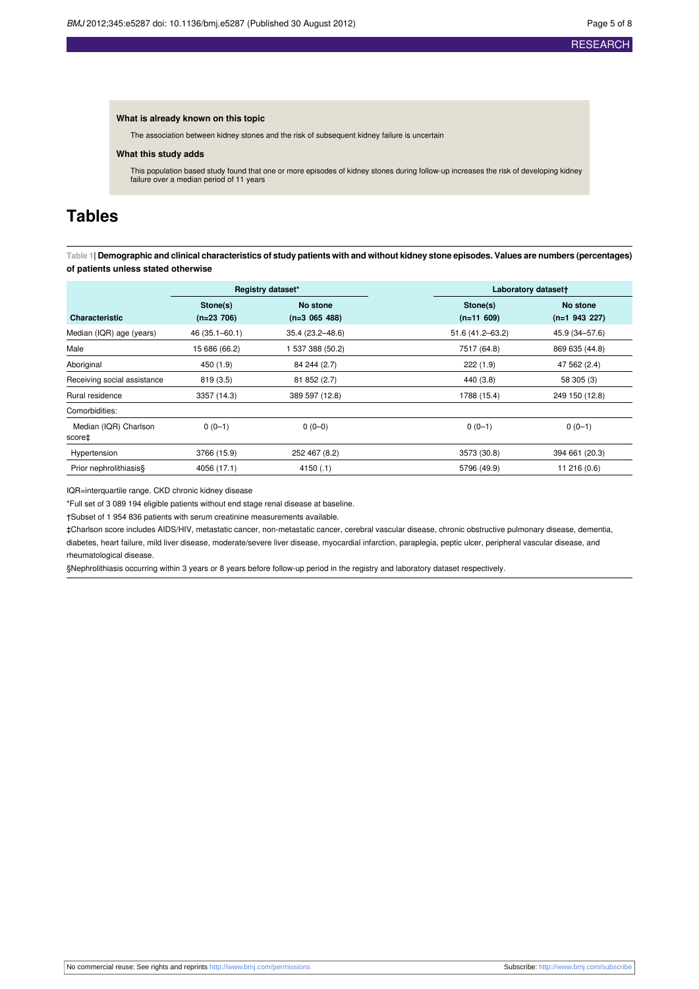#### **What is already known on this topic**

The association between kidney stones and the risk of subsequent kidney failure is uncertain

#### **What this study adds**

This population based study found that one or more episodes of kidney stones during follow-up increases the risk of developing kidney failure over a median period of 11 years

## <span id="page-4-0"></span>**Tables**

Table 1| Demographic and clinical characteristics of study patients with and without kidney stone episodes. Values are numbers (percentages) **of patients unless stated otherwise**

|                                 | Registry dataset* |                  | Laboratory datasett |                 |
|---------------------------------|-------------------|------------------|---------------------|-----------------|
|                                 | Stone(s)          | No stone         | Stone(s)            | No stone        |
| <b>Characteristic</b>           | $(n=23 706)$      | $(n=3 065 488)$  | $(n=11 609)$        | $(n=1 943 227)$ |
| Median (IQR) age (years)        | 46 (35.1-60.1)    | 35.4 (23.2-48.6) | 51.6 (41.2-63.2)    | 45.9 (34-57.6)  |
| Male                            | 15 686 (66.2)     | 537 388 (50.2)   | 7517 (64.8)         | 869 635 (44.8)  |
| Aboriginal                      | 450 (1.9)         | 84 244 (2.7)     | 222(1.9)            | 47 562 (2.4)    |
| Receiving social assistance     | 819(3.5)          | 81 852 (2.7)     | 440 (3.8)           | 58 305 (3)      |
| Rural residence                 | 3357 (14.3)       | 389 597 (12.8)   | 1788 (15.4)         | 249 150 (12.8)  |
| Comorbidities:                  |                   |                  |                     |                 |
| Median (IQR) Charlson<br>score‡ | $0(0-1)$          | $0(0-0)$         | $0(0-1)$            | $0(0-1)$        |
| Hypertension                    | 3766 (15.9)       | 252 467 (8.2)    | 3573 (30.8)         | 394 661 (20.3)  |
| Prior nephrolithiasis§          | 4056 (17.1)       | 4150(.1)         | 5796 (49.9)         | 11 216 (0.6)    |

IQR=interquartile range. CKD chronic kidney disease

\*Full set of 3 089 194 eligible patients without end stage renal disease at baseline.

†Subset of 1 954 836 patients with serum creatinine measurements available.

‡Charlson score includes AIDS/HIV, metastatic cancer, non-metastatic cancer, cerebral vascular disease, chronic obstructive pulmonary disease, dementia, diabetes, heart failure, mild liver disease, moderate/severe liver disease, myocardial infarction, paraplegia, peptic ulcer, peripheral vascular disease, and rheumatological disease.

§Nephrolithiasis occurring within 3 years or 8 years before follow-up period in the registry and laboratory dataset respectively.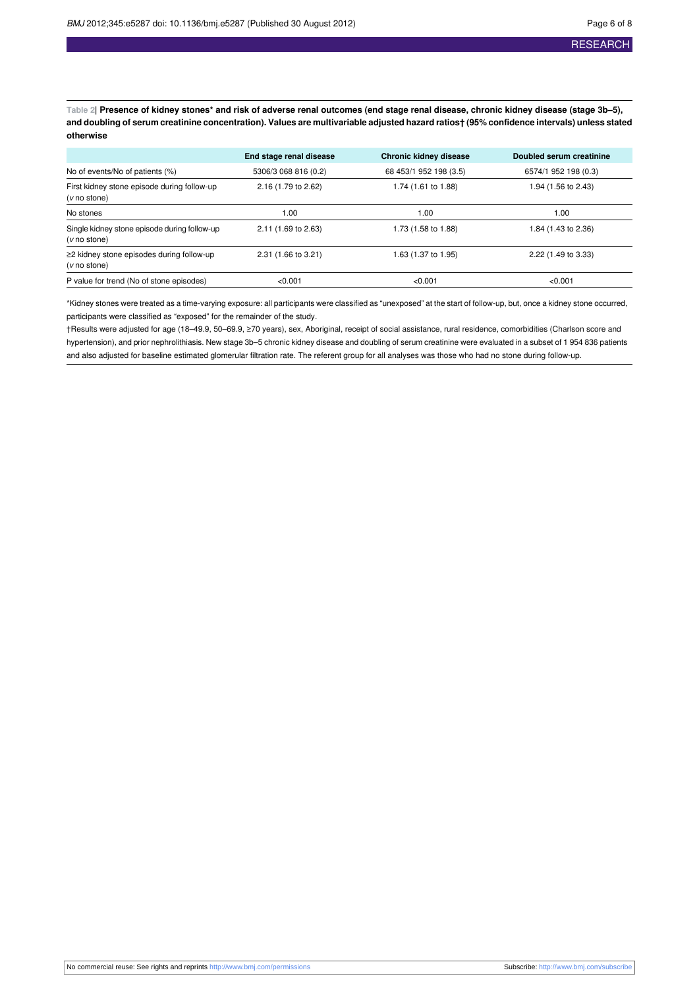<span id="page-5-0"></span>Table 2| Presence of kidney stones\* and risk of adverse renal outcomes (end stage renal disease, chronic kidney disease (stage 3b-5), and doubling of serum creatinine concentration). Values are multivariable adjusted hazard ratios+ (95% confidence intervals) unless stated **otherwise**

|                                                                 | End stage renal disease | <b>Chronic kidney disease</b> | Doubled serum creatinine |
|-----------------------------------------------------------------|-------------------------|-------------------------------|--------------------------|
| No of events/No of patients (%)                                 | 5306/3 068 816 (0.2)    | 68 453/1 952 198 (3.5)        | 6574/1 952 198 (0.3)     |
| First kidney stone episode during follow-up<br>(v no stone)     | 2.16 (1.79 to 2.62)     | 1.74 (1.61 to 1.88)           | 1.94 (1.56 to 2.43)      |
| No stones                                                       | 1.00                    | 1.00                          | 1.00                     |
| Single kidney stone episode during follow-up<br>(v no stone)    | 2.11 (1.69 to 2.63)     | 1.73 (1.58 to 1.88)           | 1.84 (1.43 to 2.36)      |
| $\geq$ 2 kidney stone episodes during follow-up<br>(v no stone) | 2.31 (1.66 to 3.21)     | 1.63 (1.37 to 1.95)           | 2.22 (1.49 to 3.33)      |
| P value for trend (No of stone episodes)                        | < 0.001                 | < 0.001                       | < 0.001                  |

\*Kidney stones were treated as a time-varying exposure: all participants were classified as "unexposed" at the start of follow-up, but, once a kidney stone occurred, participants were classified as "exposed" for the remainder of the study.

†Results were adjusted for age (18–49.9, 50–69.9, ≥70 years), sex, Aboriginal, receipt of social assistance, rural residence, comorbidities (Charlson score and hypertension), and prior nephrolithiasis. New stage 3b–5 chronic kidney disease and doubling of serum creatinine were evaluated in a subset of 1 954 836 patients and also adjusted for baseline estimated glomerular filtration rate. The referent group for all analyses was those who had no stone during follow-up.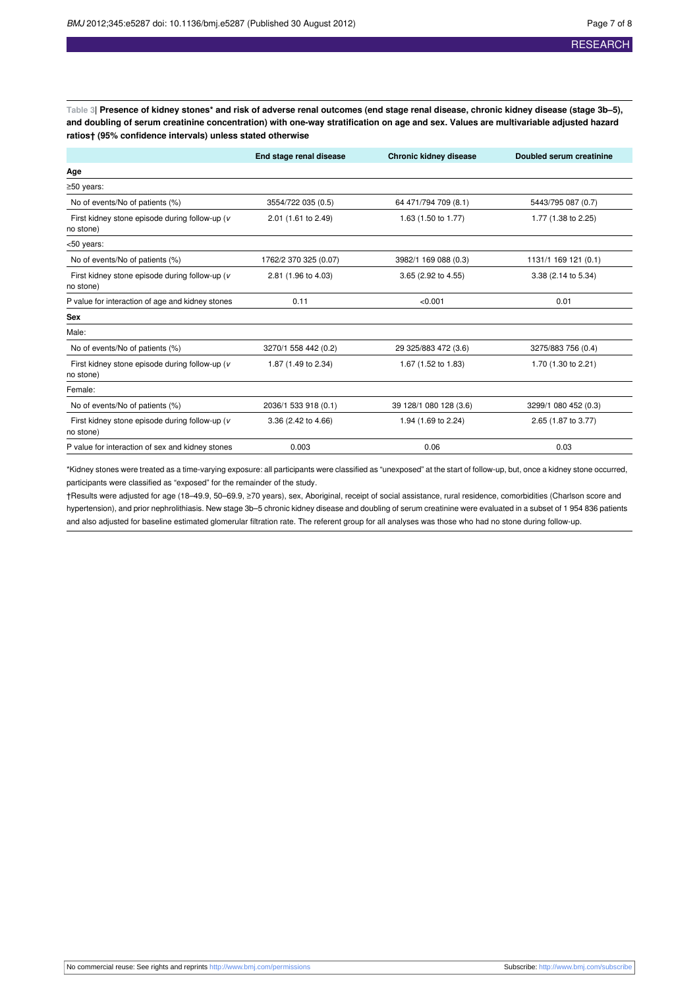<span id="page-6-0"></span>Table 3| Presence of kidney stones\* and risk of adverse renal outcomes (end stage renal disease, chronic kidney disease (stage 3b-5), and doubling of serum creatinine concentration) with one-way stratification on age and sex. Values are multivariable adjusted hazard **ratios† (95% confidence intervals) unless stated otherwise**

|                                                             | End stage renal disease                    | <b>Chronic kidney disease</b> | Doubled serum creatinine |
|-------------------------------------------------------------|--------------------------------------------|-------------------------------|--------------------------|
| Age                                                         |                                            |                               |                          |
| $\geq$ 50 years:                                            |                                            |                               |                          |
| No of events/No of patients (%)                             | 3554/722 035 (0.5)                         | 64 471/794 709 (8.1)          | 5443/795 087 (0.7)       |
| First kidney stone episode during follow-up (v<br>no stone) | 2.01 (1.61 to 2.49)                        | 1.63 (1.50 to 1.77)           |                          |
| <50 years:                                                  |                                            |                               |                          |
| No of events/No of patients (%)                             | 1762/2 370 325 (0.07)                      | 3982/1 169 088 (0.3)          | 1131/1 169 121 (0.1)     |
| First kidney stone episode during follow-up (v<br>no stone) | 2.81 (1.96 to 4.03)<br>3.65 (2.92 to 4.55) |                               | 3.38 (2.14 to 5.34)      |
| P value for interaction of age and kidney stones            | 0.11                                       | < 0.001                       | 0.01                     |
| Sex                                                         |                                            |                               |                          |
| Male:                                                       |                                            |                               |                          |
| No of events/No of patients (%)                             | 3270/1 558 442 (0.2)                       | 29 325/883 472 (3.6)          | 3275/883 756 (0.4)       |
| First kidney stone episode during follow-up (v<br>no stone) | 1.87 (1.49 to 2.34)                        | 1.67 (1.52 to 1.83)           | 1.70 (1.30 to 2.21)      |
| Female:                                                     |                                            |                               |                          |
| No of events/No of patients (%)                             | 2036/1 533 918 (0.1)                       | 39 128/1 080 128 (3.6)        | 3299/1 080 452 (0.3)     |
| First kidney stone episode during follow-up (v<br>no stone) | 3.36 (2.42 to 4.66)                        | 1.94 (1.69 to 2.24)           | 2.65 (1.87 to 3.77)      |
| P value for interaction of sex and kidney stones            | 0.003                                      | 0.06                          | 0.03                     |

\*Kidney stones were treated as a time-varying exposure: all participants were classified as "unexposed" at the start of follow-up, but, once a kidney stone occurred, participants were classified as "exposed" for the remainder of the study.

†Results were adjusted for age (18–49.9, 50–69.9, ≥70 years), sex, Aboriginal, receipt of social assistance, rural residence, comorbidities (Charlson score and hypertension), and prior nephrolithiasis. New stage 3b–5 chronic kidney disease and doubling of serum creatinine were evaluated in a subset of 1 954 836 patients and also adjusted for baseline estimated glomerular filtration rate. The referent group for all analyses was those who had no stone during follow-up.